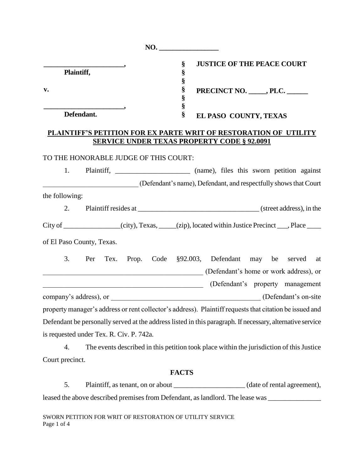|                                                                                                                       | NO.    |                                                                                                                                       |  |  |
|-----------------------------------------------------------------------------------------------------------------------|--------|---------------------------------------------------------------------------------------------------------------------------------------|--|--|
| Plaintiff,                                                                                                            | §<br>§ | <b>JUSTICE OF THE PEACE COURT</b><br>§<br>$\S$<br>PRECINCT NO. ______, PLC. ______<br>§                                               |  |  |
| v.                                                                                                                    | $\S$   |                                                                                                                                       |  |  |
| Defendant.                                                                                                            |        | EL PASO COUNTY, TEXAS                                                                                                                 |  |  |
|                                                                                                                       |        | PLAINTIFF'S PETITION FOR EX PARTE WRIT OF RESTORATION OF UTILITY<br><b>SERVICE UNDER TEXAS PROPERTY CODE § 92.0091</b>                |  |  |
| TO THE HONORABLE JUDGE OF THIS COURT:                                                                                 |        |                                                                                                                                       |  |  |
| 1.                                                                                                                    |        |                                                                                                                                       |  |  |
|                                                                                                                       |        | (Defendant's name), Defendant, and respectfully shows that Court                                                                      |  |  |
| the following:                                                                                                        |        |                                                                                                                                       |  |  |
| 2.                                                                                                                    |        |                                                                                                                                       |  |  |
|                                                                                                                       |        | City of ______________(city), Texas, ___(zip), located within Justice Precinct ___, Place ____                                        |  |  |
| of El Paso County, Texas.                                                                                             |        |                                                                                                                                       |  |  |
| 3.                                                                                                                    |        | Per Tex. Prop. Code §92.003, Defendant may be served at<br>(Defendant's home or work address), or<br>(Defendant's property management |  |  |
| <u> 1989 - Johann Barn, mars ann an t-Amhain an t-Amhain an t-Amhain an t-Amhain an t-Amhain an t-Amhain an t-Amh</u> |        |                                                                                                                                       |  |  |
|                                                                                                                       |        | property manager's address or rent collector's address). Plaintiff requests that citation be issued and                               |  |  |
|                                                                                                                       |        | Defendant be personally served at the address listed in this paragraph. If necessary, alternative service                             |  |  |
| is requested under Tex. R. Civ. P. 742a.                                                                              |        |                                                                                                                                       |  |  |
| 4.                                                                                                                    |        | The events described in this petition took place within the jurisdiction of this Justice                                              |  |  |
| Court precinct.                                                                                                       |        |                                                                                                                                       |  |  |

# **FACTS**

5. Plaintiff, as tenant, on or about \_\_\_\_\_\_\_\_\_\_\_\_\_\_\_\_\_\_\_\_\_(date of rental agreement), leased the above described premises from Defendant, as landlord. The lease was \_\_\_\_\_\_\_\_\_\_\_\_\_\_\_\_\_\_\_\_\_\_\_\_\_\_\_\_\_\_\_

SWORN PETITION FOR WRIT OF RESTORATION OF UTILITY SERVICE Page 1 of 4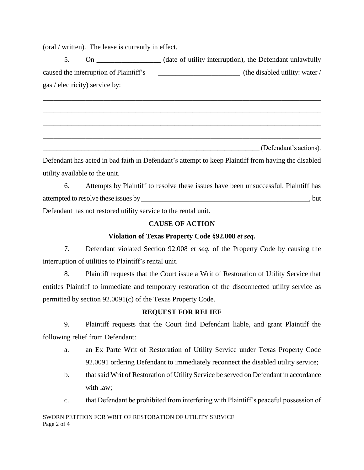(oral / written). The lease is currently in effect.

5. On Class Contract On the Oefendant unlawfully on the Defendant unlawfully caused the interruption of Plaintiff's \_\_\_\_\_\_\_\_\_\_\_\_\_\_\_\_\_\_\_\_\_\_\_\_\_\_ (the disabled utility: water / gas / electricity) service by:

\_\_\_\_\_\_\_\_\_\_\_\_\_\_\_\_\_\_\_\_\_\_\_\_\_\_\_\_\_\_\_\_\_\_\_\_\_\_\_\_\_\_\_\_\_\_\_\_\_\_\_\_\_\_\_\_\_\_\_\_\_\_\_\_\_\_\_\_\_\_\_\_\_\_\_\_\_\_

\_\_\_\_\_\_\_\_\_\_\_\_\_\_\_\_\_\_\_\_\_\_\_\_\_\_\_\_\_\_\_\_\_\_\_\_\_\_\_\_\_\_\_\_\_\_\_\_\_\_\_\_\_\_\_\_\_\_\_\_\_\_\_\_\_\_\_\_\_\_\_\_\_\_\_\_\_\_

\_\_\_\_\_\_\_\_\_\_\_\_\_\_\_\_\_\_\_\_\_\_\_\_\_\_\_\_\_\_\_\_\_\_\_\_\_\_\_\_\_\_\_\_\_\_\_\_\_\_\_\_\_\_\_\_\_\_\_\_\_\_\_\_\_\_\_\_\_\_\_\_\_\_\_\_\_\_

\_\_\_\_\_\_\_\_\_\_\_\_\_\_\_\_\_\_\_\_\_\_\_\_\_\_\_\_\_\_\_\_\_\_\_\_\_\_\_\_\_\_\_\_\_\_\_\_\_\_\_\_\_\_\_\_\_\_\_\_\_\_\_\_\_\_\_\_\_\_\_\_\_\_\_\_\_\_

\_\_\_\_\_\_\_\_\_\_\_\_\_\_\_\_\_\_\_\_\_\_\_\_\_\_\_\_\_\_\_\_\_\_\_\_\_\_\_\_\_\_\_\_\_\_\_\_\_\_\_\_\_\_\_\_\_\_\_\_\_\_ (Defendant's actions).

Defendant has acted in bad faith in Defendant's attempt to keep Plaintiff from having the disabled utility available to the unit.

6. Attempts by Plaintiff to resolve these issues have been unsuccessful. Plaintiff has attempted to resolve these issues by  $\qquad \qquad$ , but Defendant has not restored utility service to the rental unit.

## **CAUSE OF ACTION**

### **Violation of Texas Property Code §92.008** *et seq.*

7. Defendant violated Section 92.008 *et seq.* of the Property Code by causing the interruption of utilities to Plaintiff's rental unit.

8. Plaintiff requests that the Court issue a Writ of Restoration of Utility Service that entitles Plaintiff to immediate and temporary restoration of the disconnected utility service as permitted by section 92.0091(c) of the Texas Property Code.

# **REQUEST FOR RELIEF**

9. Plaintiff requests that the Court find Defendant liable, and grant Plaintiff the following relief from Defendant:

- a. an Ex Parte Writ of Restoration of Utility Service under Texas Property Code 92.0091 ordering Defendant to immediately reconnect the disabled utility service;
- b. that said Writ of Restoration of Utility Service be served on Defendant in accordance with law;
- c. that Defendant be prohibited from interfering with Plaintiff's peaceful possession of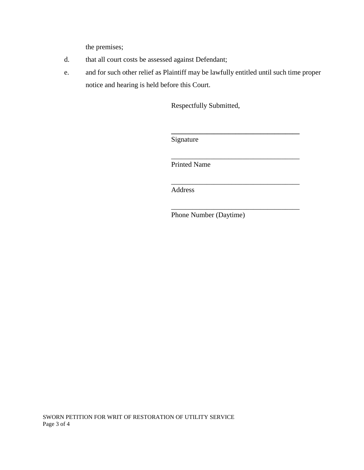the premises;

- d. that all court costs be assessed against Defendant;
- e. and for such other relief as Plaintiff may be lawfully entitled until such time proper notice and hearing is held before this Court.

Respectfully Submitted,

**\_\_\_\_\_\_\_\_\_\_\_\_\_\_\_\_\_\_\_\_\_\_\_\_\_\_\_\_\_\_\_\_\_\_\_\_**

\_\_\_\_\_\_\_\_\_\_\_\_\_\_\_\_\_\_\_\_\_\_\_\_\_\_\_\_\_\_\_\_\_\_\_\_

\_\_\_\_\_\_\_\_\_\_\_\_\_\_\_\_\_\_\_\_\_\_\_\_\_\_\_\_\_\_\_\_\_\_\_\_

\_\_\_\_\_\_\_\_\_\_\_\_\_\_\_\_\_\_\_\_\_\_\_\_\_\_\_\_\_\_\_\_\_\_\_\_

Signature

Printed Name

Address

Phone Number (Daytime)